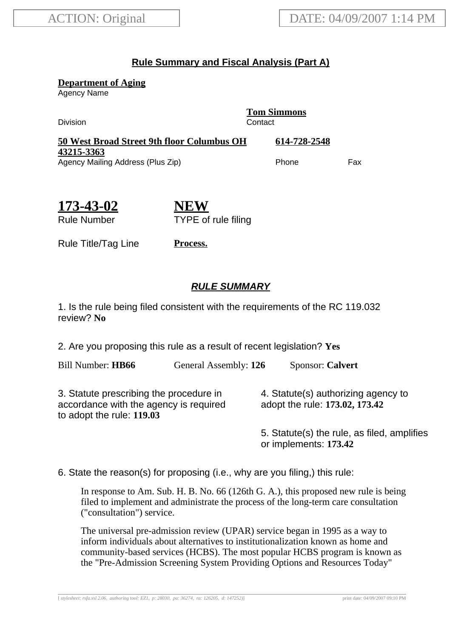## **Rule Summary and Fiscal Analysis (Part A)**

**Department of Aging**

Agency Name

Division Contact

**Tom Simmons**

| <b>50 West Broad Street 9th floor Columbus OH</b> | 614-728-2548 |     |
|---------------------------------------------------|--------------|-----|
| 43215-3363                                        |              |     |
| Agency Mailing Address (Plus Zip)                 | <b>Phone</b> | Fax |

| 173-43-02          |  |
|--------------------|--|
| <b>Rule Number</b> |  |

**NEW** TYPE of rule filing

Rule Title/Tag Line **Process.**

## **RULE SUMMARY**

1. Is the rule being filed consistent with the requirements of the RC 119.032 review? **No**

2. Are you proposing this rule as a result of recent legislation? **Yes**

Bill Number: **HB66** General Assembly: **126** Sponsor: **Calvert**

3. Statute prescribing the procedure in accordance with the agency is required to adopt the rule: **119.03**

4. Statute(s) authorizing agency to adopt the rule: **173.02, 173.42**

5. Statute(s) the rule, as filed, amplifies or implements: **173.42**

6. State the reason(s) for proposing (i.e., why are you filing,) this rule:

In response to Am. Sub. H. B. No. 66 (126th G. A.), this proposed new rule is being filed to implement and administrate the process of the long-term care consultation ("consultation") service.

The universal pre-admission review (UPAR) service began in 1995 as a way to inform individuals about alternatives to institutionalization known as home and community-based services (HCBS). The most popular HCBS program is known as the "Pre-Admission Screening System Providing Options and Resources Today"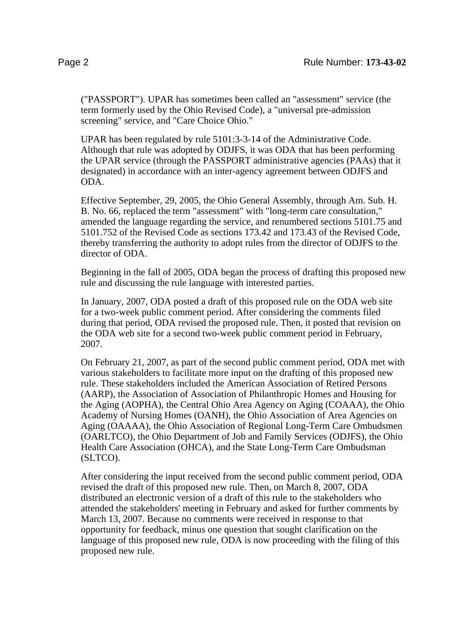("PASSPORT"). UPAR has sometimes been called an "assessment" service (the term formerly used by the Ohio Revised Code), a "universal pre-admission screening" service, and "Care Choice Ohio."

UPAR has been regulated by rule 5101:3-3-14 of the Administrative Code. Although that rule was adopted by ODJFS, it was ODA that has been performing the UPAR service (through the PASSPORT administrative agencies (PAAs) that it designated) in accordance with an inter-agency agreement between ODJFS and ODA.

Effective September, 29, 2005, the Ohio General Assembly, through Am. Sub. H. B. No. 66, replaced the term "assessment" with "long-term care consultation," amended the language regarding the service, and renumbered sections 5101.75 and 5101.752 of the Revised Code as sections 173.42 and 173.43 of the Revised Code, thereby transferring the authority to adopt rules from the director of ODJFS to the director of ODA.

Beginning in the fall of 2005, ODA began the process of drafting this proposed new rule and discussing the rule language with interested parties.

In January, 2007, ODA posted a draft of this proposed rule on the ODA web site for a two-week public comment period. After considering the comments filed during that period, ODA revised the proposed rule. Then, it posted that revision on the ODA web site for a second two-week public comment period in February, 2007.

On February 21, 2007, as part of the second public comment period, ODA met with various stakeholders to facilitate more input on the drafting of this proposed new rule. These stakeholders included the American Association of Retired Persons (AARP), the Association of Association of Philanthropic Homes and Housing for the Aging (AOPHA), the Central Ohio Area Agency on Aging (COAAA), the Ohio Academy of Nursing Homes (OANH), the Ohio Association of Area Agencies on Aging (OAAAA), the Ohio Association of Regional Long-Term Care Ombudsmen (OARLTCO), the Ohio Department of Job and Family Services (ODJFS), the Ohio Health Care Association (OHCA), and the State Long-Term Care Ombudsman (SLTCO).

After considering the input received from the second public comment period, ODA revised the draft of this proposed new rule. Then, on March 8, 2007, ODA distributed an electronic version of a draft of this rule to the stakeholders who attended the stakeholders' meeting in February and asked for further comments by March 13, 2007. Because no comments were received in response to that opportunity for feedback, minus one question that sought clarification on the language of this proposed new rule, ODA is now proceeding with the filing of this proposed new rule.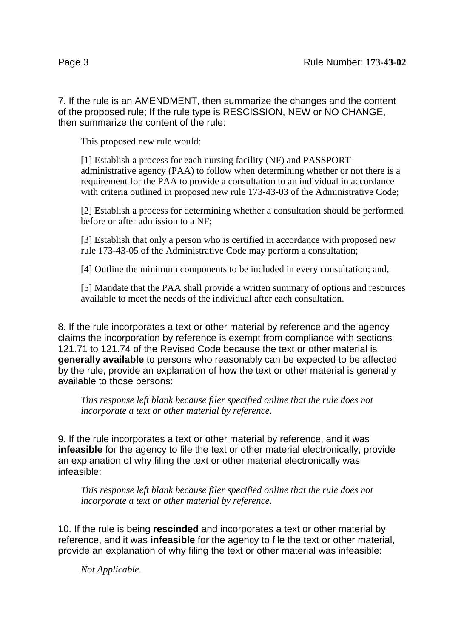7. If the rule is an AMENDMENT, then summarize the changes and the content of the proposed rule; If the rule type is RESCISSION, NEW or NO CHANGE, then summarize the content of the rule:

This proposed new rule would:

[1] Establish a process for each nursing facility (NF) and PASSPORT administrative agency (PAA) to follow when determining whether or not there is a requirement for the PAA to provide a consultation to an individual in accordance with criteria outlined in proposed new rule 173-43-03 of the Administrative Code;

[2] Establish a process for determining whether a consultation should be performed before or after admission to a NF;

[3] Establish that only a person who is certified in accordance with proposed new rule 173-43-05 of the Administrative Code may perform a consultation;

[4] Outline the minimum components to be included in every consultation; and,

[5] Mandate that the PAA shall provide a written summary of options and resources available to meet the needs of the individual after each consultation.

8. If the rule incorporates a text or other material by reference and the agency claims the incorporation by reference is exempt from compliance with sections 121.71 to 121.74 of the Revised Code because the text or other material is **generally available** to persons who reasonably can be expected to be affected by the rule, provide an explanation of how the text or other material is generally available to those persons:

*This response left blank because filer specified online that the rule does not incorporate a text or other material by reference.*

9. If the rule incorporates a text or other material by reference, and it was **infeasible** for the agency to file the text or other material electronically, provide an explanation of why filing the text or other material electronically was infeasible:

*This response left blank because filer specified online that the rule does not incorporate a text or other material by reference.*

10. If the rule is being **rescinded** and incorporates a text or other material by reference, and it was **infeasible** for the agency to file the text or other material, provide an explanation of why filing the text or other material was infeasible:

*Not Applicable.*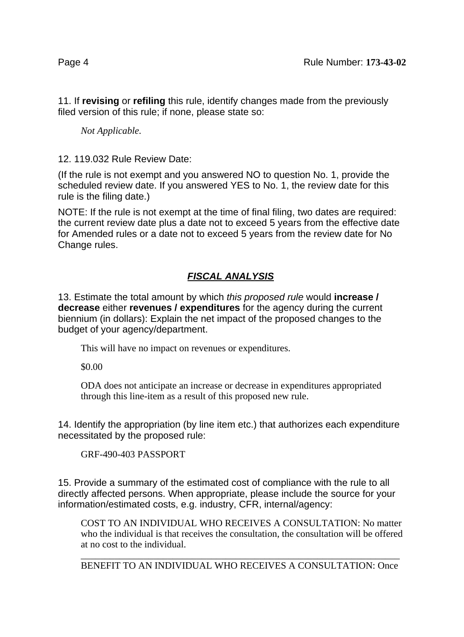11. If **revising** or **refiling** this rule, identify changes made from the previously filed version of this rule; if none, please state so:

*Not Applicable.*

12. 119.032 Rule Review Date:

(If the rule is not exempt and you answered NO to question No. 1, provide the scheduled review date. If you answered YES to No. 1, the review date for this rule is the filing date.)

NOTE: If the rule is not exempt at the time of final filing, two dates are required: the current review date plus a date not to exceed 5 years from the effective date for Amended rules or a date not to exceed 5 years from the review date for No Change rules.

## **FISCAL ANALYSIS**

13. Estimate the total amount by which this proposed rule would **increase / decrease** either **revenues / expenditures** for the agency during the current biennium (in dollars): Explain the net impact of the proposed changes to the budget of your agency/department.

This will have no impact on revenues or expenditures.

\$0.00

ODA does not anticipate an increase or decrease in expenditures appropriated through this line-item as a result of this proposed new rule.

14. Identify the appropriation (by line item etc.) that authorizes each expenditure necessitated by the proposed rule:

GRF-490-403 PASSPORT

15. Provide a summary of the estimated cost of compliance with the rule to all directly affected persons. When appropriate, please include the source for your information/estimated costs, e.g. industry, CFR, internal/agency:

COST TO AN INDIVIDUAL WHO RECEIVES A CONSULTATION: No matter who the individual is that receives the consultation, the consultation will be offered at no cost to the individual.

\_\_\_\_\_\_\_\_\_\_\_\_\_\_\_\_\_\_\_\_\_\_\_\_\_\_\_\_\_\_\_\_\_\_\_\_\_\_\_\_\_\_\_\_\_\_\_\_\_\_\_\_\_\_\_\_\_\_\_\_\_\_\_\_\_\_ BENEFIT TO AN INDIVIDUAL WHO RECEIVES A CONSULTATION: Once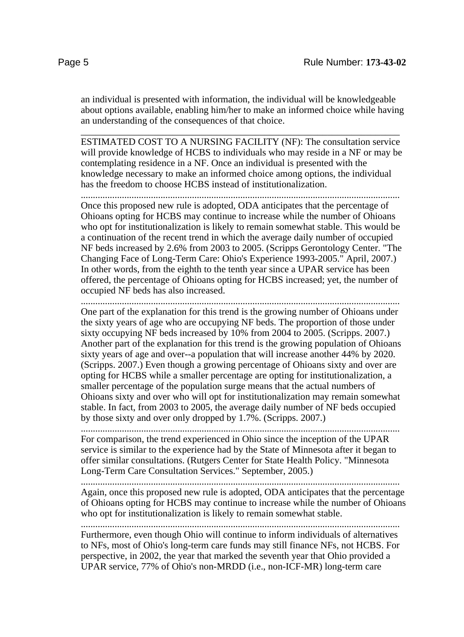an individual is presented with information, the individual will be knowledgeable about options available, enabling him/her to make an informed choice while having an understanding of the consequences of that choice.

\_\_\_\_\_\_\_\_\_\_\_\_\_\_\_\_\_\_\_\_\_\_\_\_\_\_\_\_\_\_\_\_\_\_\_\_\_\_\_\_\_\_\_\_\_\_\_\_\_\_\_\_\_\_\_\_\_\_\_\_\_\_\_\_\_\_ ESTIMATED COST TO A NURSING FACILITY (NF): The consultation service will provide knowledge of HCBS to individuals who may reside in a NF or may be contemplating residence in a NF. Once an individual is presented with the knowledge necessary to make an informed choice among options, the individual has the freedom to choose HCBS instead of institutionalization.

.................................................................................................................................... Once this proposed new rule is adopted, ODA anticipates that the percentage of Ohioans opting for HCBS may continue to increase while the number of Ohioans who opt for institutionalization is likely to remain somewhat stable. This would be a continuation of the recent trend in which the average daily number of occupied NF beds increased by 2.6% from 2003 to 2005. (Scripps Gerontology Center. "The Changing Face of Long-Term Care: Ohio's Experience 1993-2005." April, 2007.) In other words, from the eighth to the tenth year since a UPAR service has been offered, the percentage of Ohioans opting for HCBS increased; yet, the number of occupied NF beds has also increased.

.................................................................................................................................... One part of the explanation for this trend is the growing number of Ohioans under the sixty years of age who are occupying NF beds. The proportion of those under sixty occupying NF beds increased by 10% from 2004 to 2005. (Scripps. 2007.) Another part of the explanation for this trend is the growing population of Ohioans sixty years of age and over--a population that will increase another 44% by 2020. (Scripps. 2007.) Even though a growing percentage of Ohioans sixty and over are opting for HCBS while a smaller percentage are opting for institutionalization, a smaller percentage of the population surge means that the actual numbers of Ohioans sixty and over who will opt for institutionalization may remain somewhat stable. In fact, from 2003 to 2005, the average daily number of NF beds occupied by those sixty and over only dropped by 1.7%. (Scripps. 2007.)

....................................................................................................................................

For comparison, the trend experienced in Ohio since the inception of the UPAR service is similar to the experience had by the State of Minnesota after it began to offer similar consultations. (Rutgers Center for State Health Policy. "Minnesota Long-Term Care Consultation Services." September, 2005.)

....................................................................................................................................

Again, once this proposed new rule is adopted, ODA anticipates that the percentage of Ohioans opting for HCBS may continue to increase while the number of Ohioans who opt for institutionalization is likely to remain somewhat stable.

....................................................................................................................................

Furthermore, even though Ohio will continue to inform individuals of alternatives to NFs, most of Ohio's long-term care funds may still finance NFs, not HCBS. For perspective, in 2002, the year that marked the seventh year that Ohio provided a UPAR service, 77% of Ohio's non-MRDD (i.e., non-ICF-MR) long-term care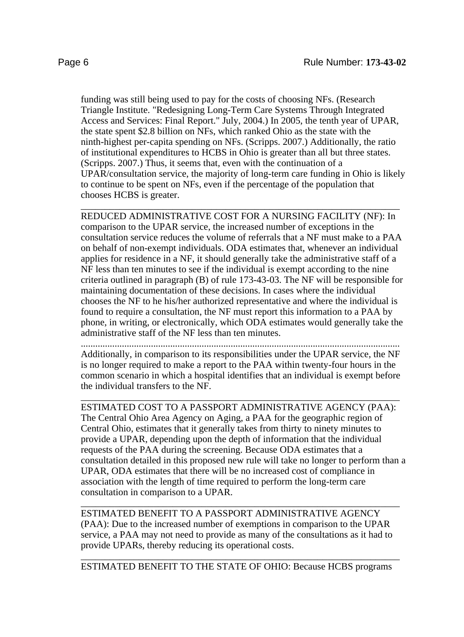funding was still being used to pay for the costs of choosing NFs. (Research Triangle Institute. "Redesigning Long-Term Care Systems Through Integrated Access and Services: Final Report." July, 2004.) In 2005, the tenth year of UPAR, the state spent \$2.8 billion on NFs, which ranked Ohio as the state with the ninth-highest per-capita spending on NFs. (Scripps. 2007.) Additionally, the ratio of institutional expenditures to HCBS in Ohio is greater than all but three states. (Scripps. 2007.) Thus, it seems that, even with the continuation of a UPAR/consultation service, the majority of long-term care funding in Ohio is likely to continue to be spent on NFs, even if the percentage of the population that chooses HCBS is greater.

\_\_\_\_\_\_\_\_\_\_\_\_\_\_\_\_\_\_\_\_\_\_\_\_\_\_\_\_\_\_\_\_\_\_\_\_\_\_\_\_\_\_\_\_\_\_\_\_\_\_\_\_\_\_\_\_\_\_\_\_\_\_\_\_\_\_

REDUCED ADMINISTRATIVE COST FOR A NURSING FACILITY (NF): In comparison to the UPAR service, the increased number of exceptions in the consultation service reduces the volume of referrals that a NF must make to a PAA on behalf of non-exempt individuals. ODA estimates that, whenever an individual applies for residence in a NF, it should generally take the administrative staff of a NF less than ten minutes to see if the individual is exempt according to the nine criteria outlined in paragraph (B) of rule 173-43-03. The NF will be responsible for maintaining documentation of these decisions. In cases where the individual chooses the NF to he his/her authorized representative and where the individual is found to require a consultation, the NF must report this information to a PAA by phone, in writing, or electronically, which ODA estimates would generally take the administrative staff of the NF less than ten minutes.

.................................................................................................................................... Additionally, in comparison to its responsibilities under the UPAR service, the NF is no longer required to make a report to the PAA within twenty-four hours in the common scenario in which a hospital identifies that an individual is exempt before the individual transfers to the NF.

\_\_\_\_\_\_\_\_\_\_\_\_\_\_\_\_\_\_\_\_\_\_\_\_\_\_\_\_\_\_\_\_\_\_\_\_\_\_\_\_\_\_\_\_\_\_\_\_\_\_\_\_\_\_\_\_\_\_\_\_\_\_\_\_\_\_ ESTIMATED COST TO A PASSPORT ADMINISTRATIVE AGENCY (PAA): The Central Ohio Area Agency on Aging, a PAA for the geographic region of Central Ohio, estimates that it generally takes from thirty to ninety minutes to provide a UPAR, depending upon the depth of information that the individual requests of the PAA during the screening. Because ODA estimates that a consultation detailed in this proposed new rule will take no longer to perform than a UPAR, ODA estimates that there will be no increased cost of compliance in association with the length of time required to perform the long-term care consultation in comparison to a UPAR.

\_\_\_\_\_\_\_\_\_\_\_\_\_\_\_\_\_\_\_\_\_\_\_\_\_\_\_\_\_\_\_\_\_\_\_\_\_\_\_\_\_\_\_\_\_\_\_\_\_\_\_\_\_\_\_\_\_\_\_\_\_\_\_\_\_\_ ESTIMATED BENEFIT TO A PASSPORT ADMINISTRATIVE AGENCY (PAA): Due to the increased number of exemptions in comparison to the UPAR service, a PAA may not need to provide as many of the consultations as it had to provide UPARs, thereby reducing its operational costs.

\_\_\_\_\_\_\_\_\_\_\_\_\_\_\_\_\_\_\_\_\_\_\_\_\_\_\_\_\_\_\_\_\_\_\_\_\_\_\_\_\_\_\_\_\_\_\_\_\_\_\_\_\_\_\_\_\_\_\_\_\_\_\_\_\_\_ ESTIMATED BENEFIT TO THE STATE OF OHIO: Because HCBS programs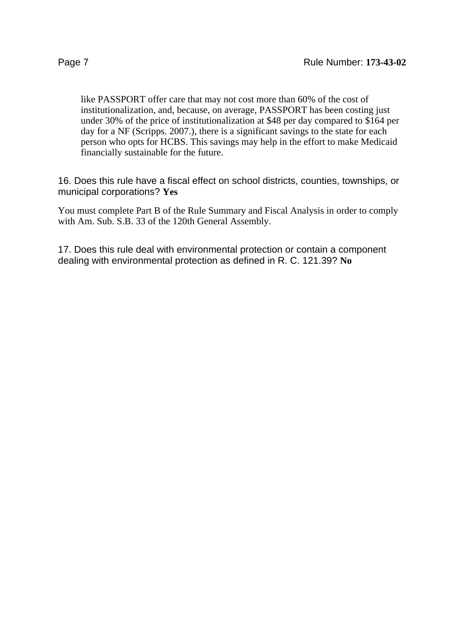like PASSPORT offer care that may not cost more than 60% of the cost of institutionalization, and, because, on average, PASSPORT has been costing just under 30% of the price of institutionalization at \$48 per day compared to \$164 per day for a NF (Scripps. 2007.), there is a significant savings to the state for each person who opts for HCBS. This savings may help in the effort to make Medicaid financially sustainable for the future.

16. Does this rule have a fiscal effect on school districts, counties, townships, or municipal corporations? **Yes**

You must complete Part B of the Rule Summary and Fiscal Analysis in order to comply with Am. Sub. S.B. 33 of the 120th General Assembly.

17. Does this rule deal with environmental protection or contain a component dealing with environmental protection as defined in R. C. 121.39? **No**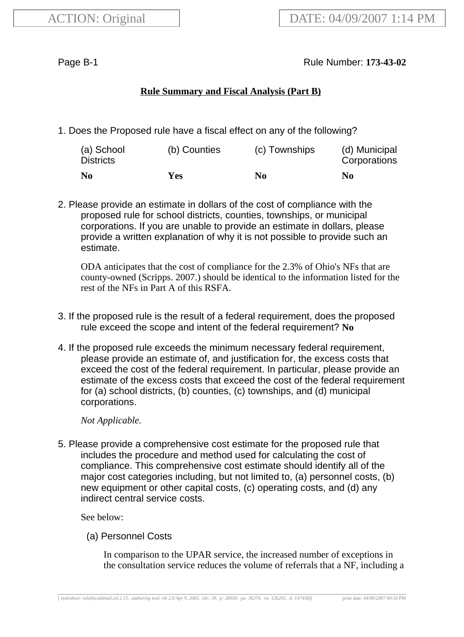Page B-1 **Rule Number: 173-43-02** Rule Number: 173-43-02

## **Rule Summary and Fiscal Analysis (Part B)**

1. Does the Proposed rule have a fiscal effect on any of the following?

| (a) School<br><b>Districts</b> | (b) Counties | (c) Townships | (d) Municipal<br>Corporations |
|--------------------------------|--------------|---------------|-------------------------------|
| N <sub>0</sub>                 | Yes-         | N0            | No                            |

2. Please provide an estimate in dollars of the cost of compliance with the proposed rule for school districts, counties, townships, or municipal corporations. If you are unable to provide an estimate in dollars, please provide a written explanation of why it is not possible to provide such an estimate.

ODA anticipates that the cost of compliance for the 2.3% of Ohio's NFs that are county-owned (Scripps. 2007.) should be identical to the information listed for the rest of the NFs in Part A of this RSFA.

- 3. If the proposed rule is the result of a federal requirement, does the proposed rule exceed the scope and intent of the federal requirement? **No**
- 4. If the proposed rule exceeds the minimum necessary federal requirement, please provide an estimate of, and justification for, the excess costs that exceed the cost of the federal requirement. In particular, please provide an estimate of the excess costs that exceed the cost of the federal requirement for (a) school districts, (b) counties, (c) townships, and (d) municipal corporations.

*Not Applicable.*

5. Please provide a comprehensive cost estimate for the proposed rule that includes the procedure and method used for calculating the cost of compliance. This comprehensive cost estimate should identify all of the major cost categories including, but not limited to, (a) personnel costs, (b) new equipment or other capital costs, (c) operating costs, and (d) any indirect central service costs.

See below:

(a) Personnel Costs

In comparison to the UPAR service, the increased number of exceptions in the consultation service reduces the volume of referrals that a NF, including a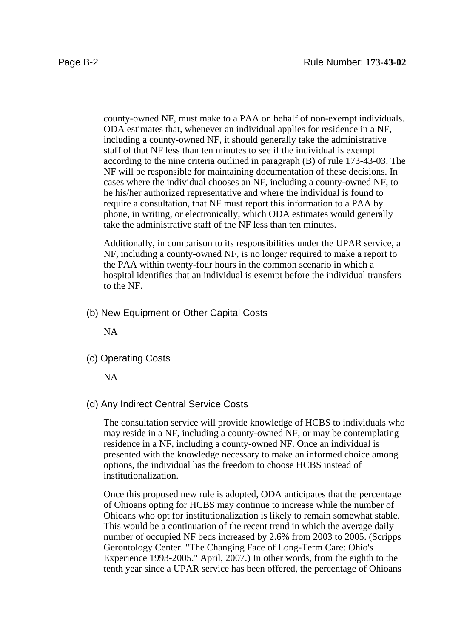county-owned NF, must make to a PAA on behalf of non-exempt individuals. ODA estimates that, whenever an individual applies for residence in a NF, including a county-owned NF, it should generally take the administrative staff of that NF less than ten minutes to see if the individual is exempt according to the nine criteria outlined in paragraph (B) of rule 173-43-03. The NF will be responsible for maintaining documentation of these decisions. In cases where the individual chooses an NF, including a county-owned NF, to he his/her authorized representative and where the individual is found to require a consultation, that NF must report this information to a PAA by phone, in writing, or electronically, which ODA estimates would generally take the administrative staff of the NF less than ten minutes.

Additionally, in comparison to its responsibilities under the UPAR service, a NF, including a county-owned NF, is no longer required to make a report to the PAA within twenty-four hours in the common scenario in which a hospital identifies that an individual is exempt before the individual transfers to the NF.

(b) New Equipment or Other Capital Costs

NA

(c) Operating Costs

NA

(d) Any Indirect Central Service Costs

The consultation service will provide knowledge of HCBS to individuals who may reside in a NF, including a county-owned NF, or may be contemplating residence in a NF, including a county-owned NF. Once an individual is presented with the knowledge necessary to make an informed choice among options, the individual has the freedom to choose HCBS instead of institutionalization.

Once this proposed new rule is adopted, ODA anticipates that the percentage of Ohioans opting for HCBS may continue to increase while the number of Ohioans who opt for institutionalization is likely to remain somewhat stable. This would be a continuation of the recent trend in which the average daily number of occupied NF beds increased by 2.6% from 2003 to 2005. (Scripps Gerontology Center. "The Changing Face of Long-Term Care: Ohio's Experience 1993-2005." April, 2007.) In other words, from the eighth to the tenth year since a UPAR service has been offered, the percentage of Ohioans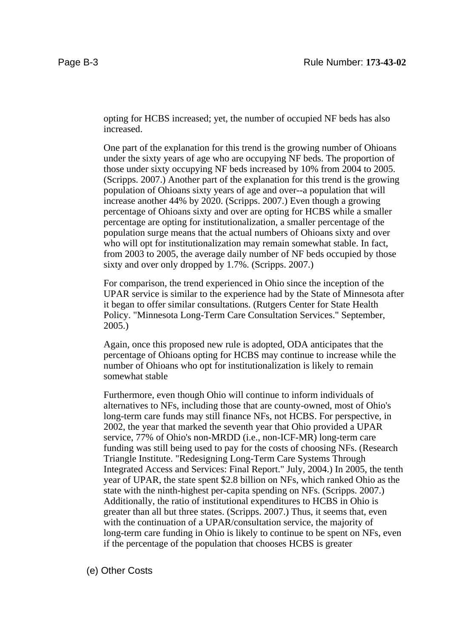opting for HCBS increased; yet, the number of occupied NF beds has also increased.

One part of the explanation for this trend is the growing number of Ohioans under the sixty years of age who are occupying NF beds. The proportion of those under sixty occupying NF beds increased by 10% from 2004 to 2005. (Scripps. 2007.) Another part of the explanation for this trend is the growing population of Ohioans sixty years of age and over--a population that will increase another 44% by 2020. (Scripps. 2007.) Even though a growing percentage of Ohioans sixty and over are opting for HCBS while a smaller percentage are opting for institutionalization, a smaller percentage of the population surge means that the actual numbers of Ohioans sixty and over who will opt for institutionalization may remain somewhat stable. In fact, from 2003 to 2005, the average daily number of NF beds occupied by those sixty and over only dropped by 1.7%. (Scripps. 2007.)

For comparison, the trend experienced in Ohio since the inception of the UPAR service is similar to the experience had by the State of Minnesota after it began to offer similar consultations. (Rutgers Center for State Health Policy. "Minnesota Long-Term Care Consultation Services." September, 2005.)

Again, once this proposed new rule is adopted, ODA anticipates that the percentage of Ohioans opting for HCBS may continue to increase while the number of Ohioans who opt for institutionalization is likely to remain somewhat stable

Furthermore, even though Ohio will continue to inform individuals of alternatives to NFs, including those that are county-owned, most of Ohio's long-term care funds may still finance NFs, not HCBS. For perspective, in 2002, the year that marked the seventh year that Ohio provided a UPAR service, 77% of Ohio's non-MRDD (i.e., non-ICF-MR) long-term care funding was still being used to pay for the costs of choosing NFs. (Research Triangle Institute. "Redesigning Long-Term Care Systems Through Integrated Access and Services: Final Report." July, 2004.) In 2005, the tenth year of UPAR, the state spent \$2.8 billion on NFs, which ranked Ohio as the state with the ninth-highest per-capita spending on NFs. (Scripps. 2007.) Additionally, the ratio of institutional expenditures to HCBS in Ohio is greater than all but three states. (Scripps. 2007.) Thus, it seems that, even with the continuation of a UPAR/consultation service, the majority of long-term care funding in Ohio is likely to continue to be spent on NFs, even if the percentage of the population that chooses HCBS is greater

(e) Other Costs